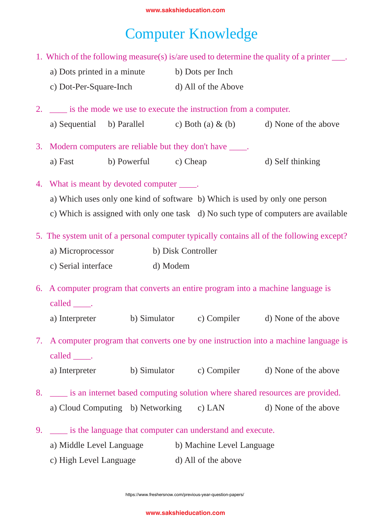## Computer Knowledge

2. \_\_\_\_ is the mode we use to execute the instruction from a computer. a) Sequential b) Parallel c) Both (a)  $\&$  (b) d) None of the above 3. Modern computers are reliable but they don't have \_\_\_\_\_. a) Fast b) Powerful c) Cheap d) Self thinking 4. What is meant by devoted computer \_\_\_\_\_. a) Which uses only one kind of software b) Which is used by only one person c) Which is assigned with only one task d) No such type of computers are available 5. The system unit of a personal computer typically contains all of the following except? a) Microprocessor b) Disk Controller c) Serial interface d) Modem 6. A computer program that converts an entire program into a machine language is called \_\_\_\_\_\_. a) Interpreter b) Simulator c) Compiler d) None of the above 7. A computer program that converts one by one instruction into a machine language is called \_\_\_\_\_. a) Interpreter b) Simulator c) Compiler d) None of the above 8. \_\_\_\_ is an internet based computing solution where shared resources are provided. a) Cloud Computing b) Networking c) LAN d) None of the above 9. \_\_\_\_ is the language that computer can understand and execute. a) Middle Level Language b) Machine Level Language c) High Level Language d) All of the above 1. Which of the following measure(s) is/are used to determine the quality of a printer \_\_\_. a) Dots printed in a minute b) Dots per Inch c) Dot-Per-Square-Inch d) All of the Above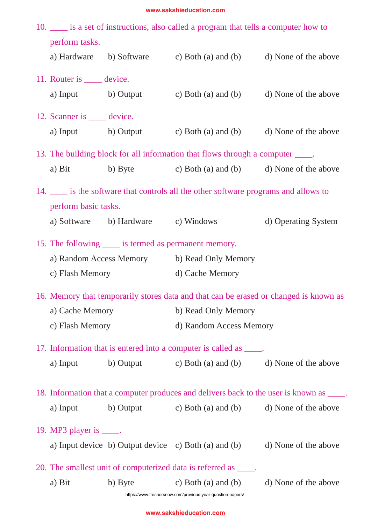| 10. is a set of instructions, also called a program that tells a computer how to |                                                                                       |                                                                                          |                      |  |  |  |
|----------------------------------------------------------------------------------|---------------------------------------------------------------------------------------|------------------------------------------------------------------------------------------|----------------------|--|--|--|
| perform tasks.                                                                   |                                                                                       |                                                                                          |                      |  |  |  |
|                                                                                  |                                                                                       | a) Hardware b) Software c) Both (a) and (b) d) None of the above                         |                      |  |  |  |
| 11. Router is <u>equal</u> device.                                               |                                                                                       |                                                                                          |                      |  |  |  |
| a) Input b) Output                                                               |                                                                                       | c) Both (a) and (b) d) None of the above                                                 |                      |  |  |  |
| 12. Scanner is <u>equal</u> device.                                              |                                                                                       |                                                                                          |                      |  |  |  |
|                                                                                  |                                                                                       | a) Input b) Output c) Both (a) and (b) d) None of the above                              |                      |  |  |  |
|                                                                                  |                                                                                       | 13. The building block for all information that flows through a computer _____.          |                      |  |  |  |
| a) Bit                                                                           | b) Byte                                                                               | c) Both (a) and (b) d) None of the above                                                 |                      |  |  |  |
|                                                                                  |                                                                                       | 14. _____ is the software that controls all the other software programs and allows to    |                      |  |  |  |
| perform basic tasks.                                                             |                                                                                       |                                                                                          |                      |  |  |  |
|                                                                                  | a) Software b) Hardware c) Windows                                                    |                                                                                          | d) Operating System  |  |  |  |
| 15. The following <u>same</u> is termed as permanent memory.                     |                                                                                       |                                                                                          |                      |  |  |  |
|                                                                                  |                                                                                       | a) Random Access Memory b) Read Only Memory                                              |                      |  |  |  |
| c) Flash Memory                                                                  |                                                                                       | d) Cache Memory                                                                          |                      |  |  |  |
|                                                                                  | 16. Memory that temporarily stores data and that can be erased or changed is known as |                                                                                          |                      |  |  |  |
| a) Cache Memory                                                                  |                                                                                       | b) Read Only Memory                                                                      |                      |  |  |  |
| c) Flash Memory                                                                  |                                                                                       | d) Random Access Memory                                                                  |                      |  |  |  |
|                                                                                  |                                                                                       | 17. Information that is entered into a computer is called as _____.                      |                      |  |  |  |
| a) Input                                                                         |                                                                                       | b) Output c) Both (a) and (b) d) None of the above                                       |                      |  |  |  |
|                                                                                  |                                                                                       | 18. Information that a computer produces and delivers back to the user is known as ____. |                      |  |  |  |
| a) Input                                                                         |                                                                                       | b) Output c) Both (a) and (b) d) None of the above                                       |                      |  |  |  |
| 19. MP3 player is $\_\_\$ .                                                      |                                                                                       |                                                                                          |                      |  |  |  |
|                                                                                  |                                                                                       | a) Input device b) Output device c) Both (a) and (b) d) None of the above                |                      |  |  |  |
|                                                                                  |                                                                                       | 20. The smallest unit of computerized data is referred as _____.                         |                      |  |  |  |
| a) Bit                                                                           |                                                                                       | b) Byte $\qquad$ c) Both (a) and (b)                                                     | d) None of the above |  |  |  |

https://www.freshersnow.com/previous-year-question-papers/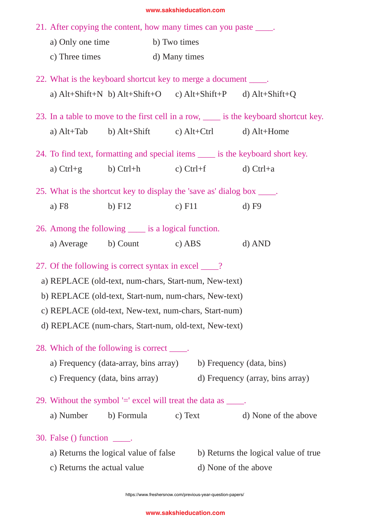|                                                                                  | 21. After copying the content, how many times can you paste _____.      |          |               |                      |                                                                                              |  |  |
|----------------------------------------------------------------------------------|-------------------------------------------------------------------------|----------|---------------|----------------------|----------------------------------------------------------------------------------------------|--|--|
|                                                                                  | a) Only one time b) Two times<br>c) Three times                         |          |               |                      |                                                                                              |  |  |
|                                                                                  |                                                                         |          | d) Many times |                      |                                                                                              |  |  |
|                                                                                  |                                                                         |          |               |                      |                                                                                              |  |  |
| 22. What is the keyboard shortcut key to merge a document _____.                 |                                                                         |          |               |                      |                                                                                              |  |  |
|                                                                                  |                                                                         |          |               |                      | a) $Alt+Shift+N$ b) $Alt+Shift+O$ c) $Alt+Shift+P$ d) $Alt+Shift+Q$                          |  |  |
|                                                                                  |                                                                         |          |               |                      | 23. In a table to move to the first cell in a row, <u>each is</u> the keyboard shortcut key. |  |  |
|                                                                                  | a) $Alt+Tab$ b) $Alt+Shift$ c) $Alt+Ctrl$ d) $Alt+Home$                 |          |               |                      |                                                                                              |  |  |
| 24. To find text, formatting and special items ______ is the keyboard short key. |                                                                         |          |               |                      |                                                                                              |  |  |
|                                                                                  | a) $Ctrl + g$ b) $Ctrl + h$ c) $Ctrl + f$                               |          |               |                      | $d)$ Ctrl+a                                                                                  |  |  |
|                                                                                  | 25. What is the shortcut key to display the 'save as' dialog box _____. |          |               |                      |                                                                                              |  |  |
|                                                                                  | a) $F8$                                                                 | $b)$ F12 | c) $F11$      |                      | $d)$ F9                                                                                      |  |  |
| 26. Among the following _____ is a logical function.                             |                                                                         |          |               |                      |                                                                                              |  |  |
|                                                                                  | a) Average b) Count c) ABS                                              |          |               |                      | $d)$ AND                                                                                     |  |  |
|                                                                                  | 27. Of the following is correct syntax in excel ____?                   |          |               |                      |                                                                                              |  |  |
| a) REPLACE (old-text, num-chars, Start-num, New-text)                            |                                                                         |          |               |                      |                                                                                              |  |  |
| b) REPLACE (old-text, Start-num, num-chars, New-text)                            |                                                                         |          |               |                      |                                                                                              |  |  |
|                                                                                  | c) REPLACE (old-text, New-text, num-chars, Start-num)                   |          |               |                      |                                                                                              |  |  |
| d) REPLACE (num-chars, Start-num, old-text, New-text)                            |                                                                         |          |               |                      |                                                                                              |  |  |
|                                                                                  | 28. Which of the following is correct _____.                            |          |               |                      |                                                                                              |  |  |
|                                                                                  | a) Frequency (data-array, bins array)<br>b) Frequency (data, bins)      |          |               |                      |                                                                                              |  |  |
|                                                                                  | c) Frequency (data, bins array)                                         |          |               |                      | d) Frequency (array, bins array)                                                             |  |  |
|                                                                                  | 29. Without the symbol $=$ excel will treat the data as $\_\_\_\_\$ .   |          |               |                      |                                                                                              |  |  |
|                                                                                  | a) Number b) Formula                                                    |          | c) Text       |                      | d) None of the above                                                                         |  |  |
|                                                                                  | 30. False $()$ function $\rule{1em}{0.15mm}$ .                          |          |               |                      |                                                                                              |  |  |
|                                                                                  | a) Returns the logical value of false                                   |          |               |                      | b) Returns the logical value of true                                                         |  |  |
|                                                                                  | c) Returns the actual value                                             |          |               | d) None of the above |                                                                                              |  |  |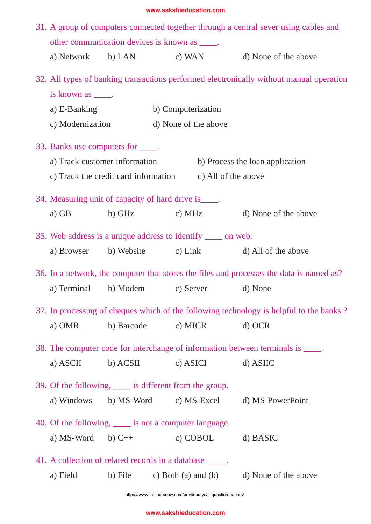| 31. A group of computers connected together through a central sever using cables and |                                                                                          |                                                                                  |                      |          |                                                   |  |  |
|--------------------------------------------------------------------------------------|------------------------------------------------------------------------------------------|----------------------------------------------------------------------------------|----------------------|----------|---------------------------------------------------|--|--|
|                                                                                      |                                                                                          | other communication devices is known as _____.                                   |                      |          |                                                   |  |  |
|                                                                                      |                                                                                          |                                                                                  |                      |          | a) Network b) LAN c) WAN d) None of the above     |  |  |
|                                                                                      | 32. All types of banking transactions performed electronically without manual operation  |                                                                                  |                      |          |                                                   |  |  |
|                                                                                      | is known as _____.                                                                       |                                                                                  |                      |          |                                                   |  |  |
| a) E-Banking                                                                         |                                                                                          |                                                                                  | b) Computerization   |          |                                                   |  |  |
|                                                                                      | c) Modernization                                                                         |                                                                                  | d) None of the above |          |                                                   |  |  |
|                                                                                      | 33. Banks use computers for _____.                                                       |                                                                                  |                      |          |                                                   |  |  |
|                                                                                      | a) Track customer information<br>b) Process the loan application                         |                                                                                  |                      |          |                                                   |  |  |
|                                                                                      | c) Track the credit card information d) All of the above                                 |                                                                                  |                      |          |                                                   |  |  |
|                                                                                      | 34. Measuring unit of capacity of hard drive is _____.                                   |                                                                                  |                      |          |                                                   |  |  |
|                                                                                      |                                                                                          |                                                                                  |                      |          | a) GB b) GHz c) MHz d) None of the above          |  |  |
|                                                                                      | 35. Web address is a unique address to identify ______ on web.                           |                                                                                  |                      |          |                                                   |  |  |
|                                                                                      |                                                                                          |                                                                                  |                      |          | a) Browser b) Website c) Link d) All of the above |  |  |
|                                                                                      | 36. In a network, the computer that stores the files and processes the data is named as? |                                                                                  |                      |          |                                                   |  |  |
|                                                                                      | a) Terminal b) Modem c) Server d) None                                                   |                                                                                  |                      |          |                                                   |  |  |
|                                                                                      | 37. In processing of cheques which of the following technology is helpful to the banks?  |                                                                                  |                      |          |                                                   |  |  |
|                                                                                      | a) OMR                                                                                   | b) Barcode                                                                       | c) MICR              |          | $d)$ OCR                                          |  |  |
|                                                                                      |                                                                                          | 38. The computer code for interchange of information between terminals is _____. |                      |          |                                                   |  |  |
|                                                                                      | a) ASCII                                                                                 | b) ACSII                                                                         | c) ASICI             |          | d) ASIIC                                          |  |  |
|                                                                                      | 39. Of the following, <u>equal</u> is different from the group.                          |                                                                                  |                      |          |                                                   |  |  |
|                                                                                      | a) Windows                                                                               |                                                                                  |                      |          | b) MS-Word c) MS-Excel d) MS-PowerPoint           |  |  |
|                                                                                      | 40. Of the following, <u>equal</u> is not a computer language.                           |                                                                                  |                      |          |                                                   |  |  |
|                                                                                      | a) MS-Word b) $C++$                                                                      |                                                                                  |                      | c) COBOL | d) BASIC                                          |  |  |
|                                                                                      |                                                                                          | 41. A collection of related records in a database _____.                         |                      |          |                                                   |  |  |
|                                                                                      | a) Field                                                                                 | b) File c) Both (a) and (b)                                                      |                      |          | d) None of the above                              |  |  |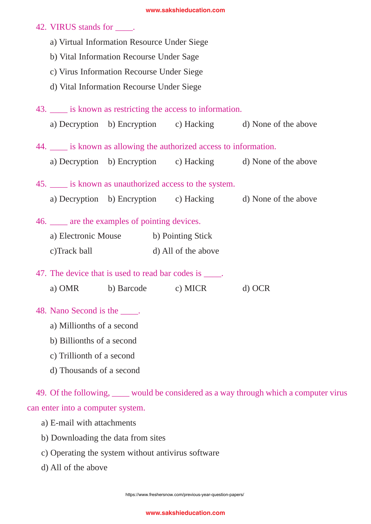## 42. VIRUS stands for \_\_\_\_.

- a) Virtual Information Resource Under Siege
- b) Vital Information Recourse Under Sage
- c) Virus Information Recourse Under Siege
- d) Vital Information Recourse Under Siege
- 43. \_\_\_\_ is known as restricting the access to information.
- a) Decryption b) Encryption c) Hacking d) None of the above 44. \_\_\_\_ is known as allowing the authorized access to information. a) Decryption b) Encryption c) Hacking d) None of the above 45. \_\_\_\_ is known as unauthorized access to the system. a) Decryption b) Encryption c) Hacking d) None of the above 46. \_\_\_\_ are the examples of pointing devices. a) Electronic Mouse b) Pointing Stick c)Track ball d) All of the above 47. The device that is used to read bar codes is  $\_\_\_\_\$ . a) OMR b) Barcode c) MICR d) OCR
- 48. Nano Second is the \_\_\_\_.
	- a) Millionths of a second
	- b) Billionths of a second
	- c) Trillionth of a second
	- d) Thousands of a second

49. Of the following, would be considered as a way through which a computer virus can enter into a computer system.

- a) E-mail with attachments
- b) Downloading the data from sites
- c) Operating the system without antivirus software
- d) All of the above